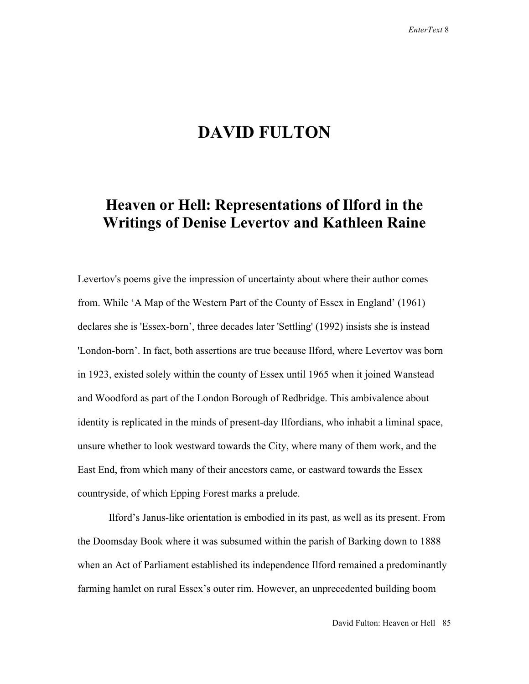## **DAVID FULTON**

## **Heaven or Hell: Representations of Ilford in the Writings of Denise Levertov and Kathleen Raine**

Levertov's poems give the impression of uncertainty about where their author comes from. While 'A Map of the Western Part of the County of Essex in England' (1961) declares she is 'Essex-born', three decades later 'Settling' (1992) insists she is instead 'London-born'. In fact, both assertions are true because Ilford, where Levertov was born in 1923, existed solely within the county of Essex until 1965 when it joined Wanstead and Woodford as part of the London Borough of Redbridge. This ambivalence about identity is replicated in the minds of present-day Ilfordians, who inhabit a liminal space, unsure whether to look westward towards the City, where many of them work, and the East End, from which many of their ancestors came, or eastward towards the Essex countryside, of which Epping Forest marks a prelude.

 Ilford's Janus-like orientation is embodied in its past, as well as its present. From the Doomsday Book where it was subsumed within the parish of Barking down to 1888 when an Act of Parliament established its independence Ilford remained a predominantly farming hamlet on rural Essex's outer rim. However, an unprecedented building boom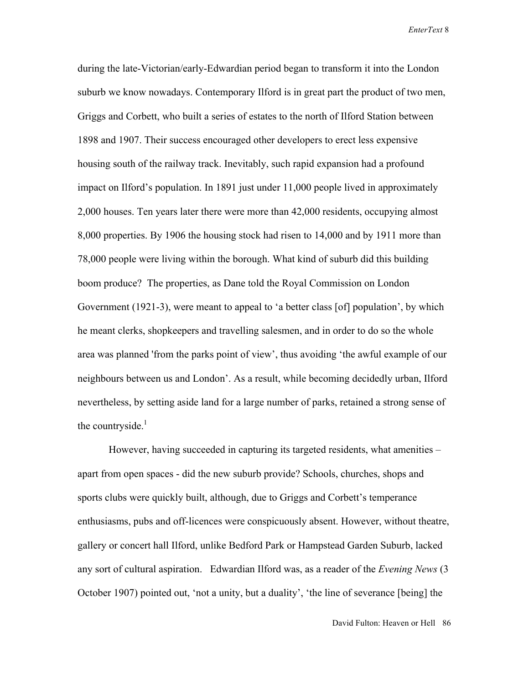during the late-Victorian/early-Edwardian period began to transform it into the London suburb we know nowadays. Contemporary Ilford is in great part the product of two men, Griggs and Corbett, who built a series of estates to the north of Ilford Station between 1898 and 1907. Their success encouraged other developers to erect less expensive housing south of the railway track. Inevitably, such rapid expansion had a profound impact on Ilford's population. In 1891 just under 11,000 people lived in approximately 2,000 houses. Ten years later there were more than 42,000 residents, occupying almost 8,000 properties. By 1906 the housing stock had risen to 14,000 and by 1911 more than 78,000 people were living within the borough. What kind of suburb did this building boom produce? The properties, as Dane told the Royal Commission on London Government (1921-3), were meant to appeal to 'a better class [of] population', by which he meant clerks, shopkeepers and travelling salesmen, and in order to do so the whole area was planned 'from the parks point of view', thus avoiding 'the awful example of our neighbours between us and London'. As a result, while becoming decidedly urban, Ilford nevertheless, by setting aside land for a large number of parks, retained a strong sense of the countryside. $<sup>1</sup>$ </sup>

 However, having succeeded in capturing its targeted residents, what amenities – apart from open spaces - did the new suburb provide? Schools, churches, shops and sports clubs were quickly built, although, due to Griggs and Corbett's temperance enthusiasms, pubs and off-licences were conspicuously absent. However, without theatre, gallery or concert hall Ilford, unlike Bedford Park or Hampstead Garden Suburb, lacked any sort of cultural aspiration. Edwardian Ilford was, as a reader of the *Evening News* (3 October 1907) pointed out, 'not a unity, but a duality', 'the line of severance [being] the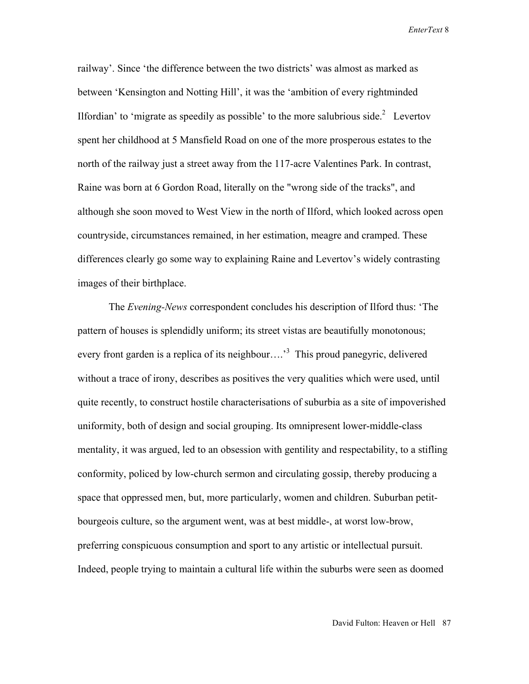railway'. Since 'the difference between the two districts' was almost as marked as between 'Kensington and Notting Hill', it was the 'ambition of every rightminded Ilfordian' to 'migrate as speedily as possible' to the more salubrious side.<sup>2</sup> Levertov spent her childhood at 5 Mansfield Road on one of the more prosperous estates to the north of the railway just a street away from the 117-acre Valentines Park. In contrast, Raine was born at 6 Gordon Road, literally on the "wrong side of the tracks", and although she soon moved to West View in the north of Ilford, which looked across open countryside, circumstances remained, in her estimation, meagre and cramped. These differences clearly go some way to explaining Raine and Levertov's widely contrasting images of their birthplace.

 The *Evening-News* correspondent concludes his description of Ilford thus: 'The pattern of houses is splendidly uniform; its street vistas are beautifully monotonous; every front garden is a replica of its neighbour....<sup>3</sup> This proud panegyric, delivered without a trace of irony, describes as positives the very qualities which were used, until quite recently, to construct hostile characterisations of suburbia as a site of impoverished uniformity, both of design and social grouping. Its omnipresent lower-middle-class mentality, it was argued, led to an obsession with gentility and respectability, to a stifling conformity, policed by low-church sermon and circulating gossip, thereby producing a space that oppressed men, but, more particularly, women and children. Suburban petitbourgeois culture, so the argument went, was at best middle-, at worst low-brow, preferring conspicuous consumption and sport to any artistic or intellectual pursuit. Indeed, people trying to maintain a cultural life within the suburbs were seen as doomed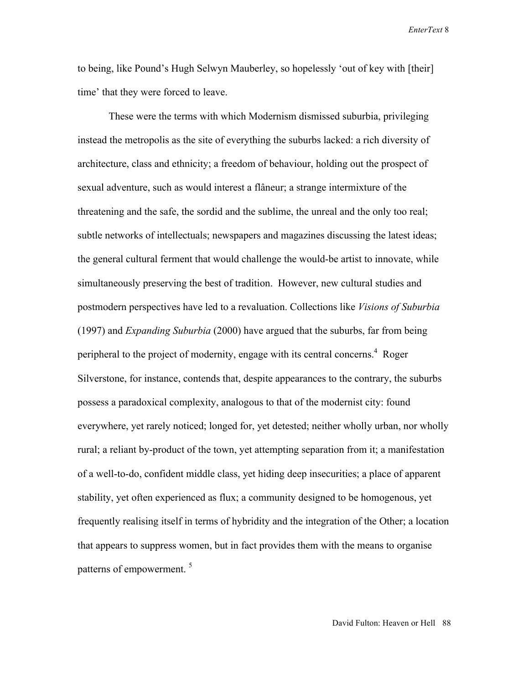to being, like Pound's Hugh Selwyn Mauberley, so hopelessly 'out of key with [their] time' that they were forced to leave.

 These were the terms with which Modernism dismissed suburbia, privileging instead the metropolis as the site of everything the suburbs lacked: a rich diversity of architecture, class and ethnicity; a freedom of behaviour, holding out the prospect of sexual adventure, such as would interest a flâneur; a strange intermixture of the threatening and the safe, the sordid and the sublime, the unreal and the only too real; subtle networks of intellectuals; newspapers and magazines discussing the latest ideas; the general cultural ferment that would challenge the would-be artist to innovate, while simultaneously preserving the best of tradition. However, new cultural studies and postmodern perspectives have led to a revaluation. Collections like *Visions of Suburbia* (1997) and *Expanding Suburbia* (2000) have argued that the suburbs, far from being peripheral to the project of modernity, engage with its central concerns.<sup>4</sup> Roger Silverstone, for instance, contends that, despite appearances to the contrary, the suburbs possess a paradoxical complexity, analogous to that of the modernist city: found everywhere, yet rarely noticed; longed for, yet detested; neither wholly urban, nor wholly rural; a reliant by-product of the town, yet attempting separation from it; a manifestation of a well-to-do, confident middle class, yet hiding deep insecurities; a place of apparent stability, yet often experienced as flux; a community designed to be homogenous, yet frequently realising itself in terms of hybridity and the integration of the Other; a location that appears to suppress women, but in fact provides them with the means to organise patterns of empowerment.<sup>5</sup>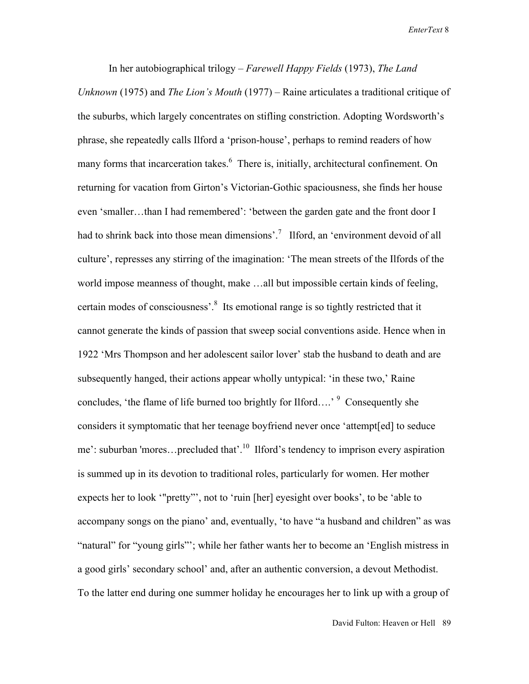In her autobiographical trilogy – *Farewell Happy Fields* (1973), *The Land Unknown* (1975) and *The Lion's Mouth* (1977) – Raine articulates a traditional critique of the suburbs, which largely concentrates on stifling constriction. Adopting Wordsworth's phrase, she repeatedly calls Ilford a 'prison-house', perhaps to remind readers of how many forms that incarceration takes.<sup>6</sup> There is, initially, architectural confinement. On returning for vacation from Girton's Victorian-Gothic spaciousness, she finds her house even 'smaller…than I had remembered': 'between the garden gate and the front door I had to shrink back into those mean dimensions'.<sup>7</sup> Ilford, an 'environment devoid of all culture', represses any stirring of the imagination: 'The mean streets of the Ilfords of the world impose meanness of thought, make …all but impossible certain kinds of feeling, certain modes of consciousness'.<sup>8</sup> Its emotional range is so tightly restricted that it cannot generate the kinds of passion that sweep social conventions aside. Hence when in 1922 'Mrs Thompson and her adolescent sailor lover' stab the husband to death and are subsequently hanged, their actions appear wholly untypical: 'in these two,' Raine concludes, 'the flame of life burned too brightly for Ilford....' <sup>9</sup> Consequently she considers it symptomatic that her teenage boyfriend never once 'attempt[ed] to seduce me': suburban 'mores...precluded that'.<sup>10</sup> Ilford's tendency to imprison every aspiration is summed up in its devotion to traditional roles, particularly for women. Her mother expects her to look '"pretty"', not to 'ruin [her] eyesight over books', to be 'able to accompany songs on the piano' and, eventually, 'to have "a husband and children" as was "natural" for "young girls"'; while her father wants her to become an 'English mistress in a good girls' secondary school' and, after an authentic conversion, a devout Methodist. To the latter end during one summer holiday he encourages her to link up with a group of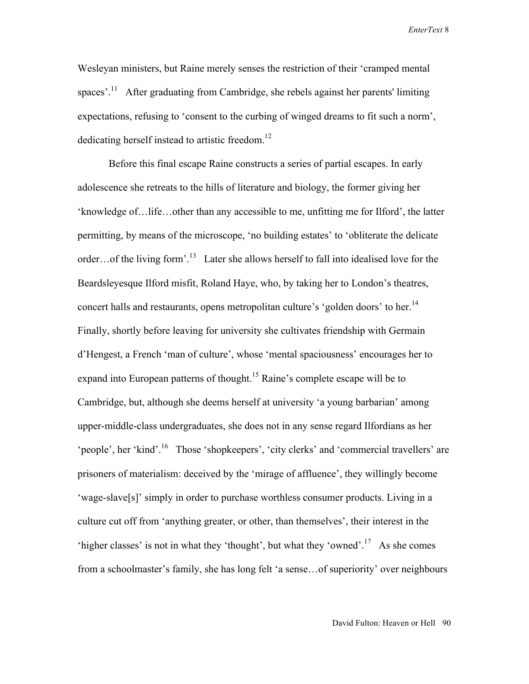Wesleyan ministers, but Raine merely senses the restriction of their 'cramped mental spaces'.<sup>11</sup> After graduating from Cambridge, she rebels against her parents' limiting expectations, refusing to 'consent to the curbing of winged dreams to fit such a norm', dedicating herself instead to artistic freedom.<sup>12</sup>

 Before this final escape Raine constructs a series of partial escapes. In early adolescence she retreats to the hills of literature and biology, the former giving her 'knowledge of…life…other than any accessible to me, unfitting me for Ilford', the latter permitting, by means of the microscope, 'no building estates' to 'obliterate the delicate order...of the living form'.<sup>13</sup> Later she allows herself to fall into idealised love for the Beardsleyesque Ilford misfit, Roland Haye, who, by taking her to London's theatres, concert halls and restaurants, opens metropolitan culture's 'golden doors' to her.<sup>14</sup> Finally, shortly before leaving for university she cultivates friendship with Germain d'Hengest, a French 'man of culture', whose 'mental spaciousness' encourages her to expand into European patterns of thought.<sup>15</sup> Raine's complete escape will be to Cambridge, but, although she deems herself at university 'a young barbarian' among upper-middle-class undergraduates, she does not in any sense regard Ilfordians as her 'people', her 'kind'.<sup>16</sup> Those 'shopkeepers', 'city clerks' and 'commercial travellers' are prisoners of materialism: deceived by the 'mirage of affluence', they willingly become 'wage-slave[s]' simply in order to purchase worthless consumer products. Living in a culture cut off from 'anything greater, or other, than themselves', their interest in the 'higher classes' is not in what they 'thought', but what they 'owned'.<sup>17</sup> As she comes from a schoolmaster's family, she has long felt 'a sense…of superiority' over neighbours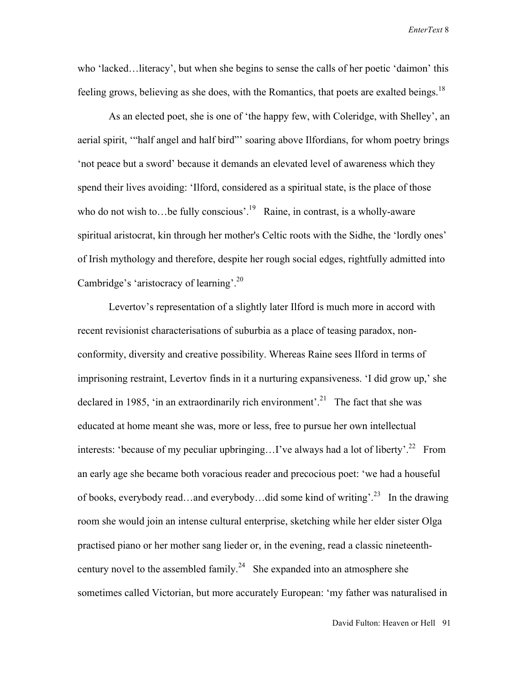who 'lacked…literacy', but when she begins to sense the calls of her poetic 'daimon' this feeling grows, believing as she does, with the Romantics, that poets are exalted beings.<sup>18</sup>

 As an elected poet, she is one of 'the happy few, with Coleridge, with Shelley', an aerial spirit, '"half angel and half bird"' soaring above Ilfordians, for whom poetry brings 'not peace but a sword' because it demands an elevated level of awareness which they spend their lives avoiding: 'Ilford, considered as a spiritual state, is the place of those who do not wish to…be fully conscious'.<sup>19</sup> Raine, in contrast, is a wholly-aware spiritual aristocrat, kin through her mother's Celtic roots with the Sidhe, the 'lordly ones' of Irish mythology and therefore, despite her rough social edges, rightfully admitted into Cambridge's 'aristocracy of learning'.20

 Levertov's representation of a slightly later Ilford is much more in accord with recent revisionist characterisations of suburbia as a place of teasing paradox, nonconformity, diversity and creative possibility. Whereas Raine sees Ilford in terms of imprisoning restraint, Levertov finds in it a nurturing expansiveness. 'I did grow up,' she declared in 1985, 'in an extraordinarily rich environment'.<sup>21</sup> The fact that she was educated at home meant she was, more or less, free to pursue her own intellectual interests: 'because of my peculiar upbringing... I've always had a lot of liberty'.<sup>22</sup> From an early age she became both voracious reader and precocious poet: 'we had a houseful of books, everybody read…and everybody…did some kind of writing'.23 In the drawing room she would join an intense cultural enterprise, sketching while her elder sister Olga practised piano or her mother sang lieder or, in the evening, read a classic nineteenthcentury novel to the assembled family.<sup>24</sup> She expanded into an atmosphere she sometimes called Victorian, but more accurately European: 'my father was naturalised in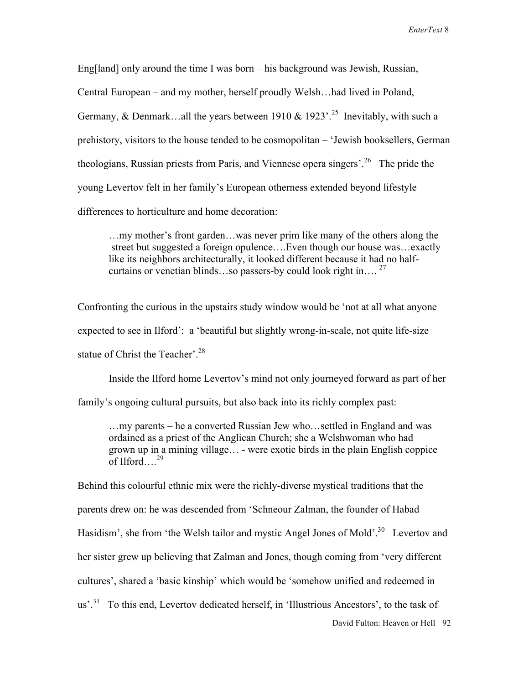Eng[land] only around the time I was born – his background was Jewish, Russian, Central European – and my mother, herself proudly Welsh…had lived in Poland, Germany, & Denmark...all the years between 1910 & 1923'.<sup>25</sup> Inevitably, with such a prehistory, visitors to the house tended to be cosmopolitan – 'Jewish booksellers, German theologians, Russian priests from Paris, and Viennese opera singers'.<sup>26</sup> The pride the young Levertov felt in her family's European otherness extended beyond lifestyle differences to horticulture and home decoration:

 …my mother's front garden…was never prim like many of the others along the street but suggested a foreign opulence….Even though our house was…exactly like its neighbors architecturally, it looked different because it had no half curtains or venetian blinds…so passers-by could look right in…. <sup>27</sup>

Confronting the curious in the upstairs study window would be 'not at all what anyone expected to see in Ilford': a 'beautiful but slightly wrong-in-scale, not quite life-size statue of Christ the Teacher'.<sup>28</sup>

 Inside the Ilford home Levertov's mind not only journeyed forward as part of her family's ongoing cultural pursuits, but also back into its richly complex past:

 …my parents – he a converted Russian Jew who…settled in England and was ordained as a priest of the Anglican Church; she a Welshwoman who had grown up in a mining village… - were exotic birds in the plain English coppice of Ilford….29

David Fulton: Heaven or Hell 92 Behind this colourful ethnic mix were the richly-diverse mystical traditions that the parents drew on: he was descended from 'Schneour Zalman, the founder of Habad Hasidism', she from 'the Welsh tailor and mystic Angel Jones of Mold'.<sup>30</sup> Levertov and her sister grew up believing that Zalman and Jones, though coming from 'very different cultures', shared a 'basic kinship' which would be 'somehow unified and redeemed in  $us<sup>31</sup>$  To this end, Levertov dedicated herself, in 'Illustrious Ancestors', to the task of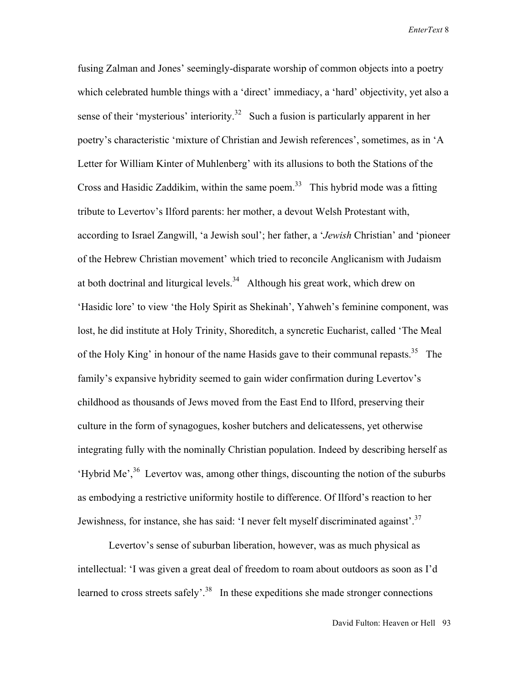fusing Zalman and Jones' seemingly-disparate worship of common objects into a poetry which celebrated humble things with a 'direct' immediacy, a 'hard' objectivity, yet also a sense of their 'mysterious' interiority.<sup>32</sup> Such a fusion is particularly apparent in her poetry's characteristic 'mixture of Christian and Jewish references', sometimes, as in 'A Letter for William Kinter of Muhlenberg' with its allusions to both the Stations of the Cross and Hasidic Zaddikim, within the same poem.<sup>33</sup> This hybrid mode was a fitting tribute to Levertov's Ilford parents: her mother, a devout Welsh Protestant with, according to Israel Zangwill, 'a Jewish soul'; her father, a '*Jewish* Christian' and 'pioneer of the Hebrew Christian movement' which tried to reconcile Anglicanism with Judaism at both doctrinal and liturgical levels.<sup>34</sup> Although his great work, which drew on 'Hasidic lore' to view 'the Holy Spirit as Shekinah', Yahweh's feminine component, was lost, he did institute at Holy Trinity, Shoreditch, a syncretic Eucharist, called 'The Meal of the Holy King' in honour of the name Hasids gave to their communal repasts.<sup>35</sup> The family's expansive hybridity seemed to gain wider confirmation during Levertov's childhood as thousands of Jews moved from the East End to Ilford, preserving their culture in the form of synagogues, kosher butchers and delicatessens, yet otherwise integrating fully with the nominally Christian population. Indeed by describing herself as 'Hybrid Me',  $36$  Levertov was, among other things, discounting the notion of the suburbs as embodying a restrictive uniformity hostile to difference. Of Ilford's reaction to her Jewishness, for instance, she has said: 'I never felt myself discriminated against'.<sup>37</sup>

 Levertov's sense of suburban liberation, however, was as much physical as intellectual: 'I was given a great deal of freedom to roam about outdoors as soon as I'd learned to cross streets safely'.<sup>38</sup> In these expeditions she made stronger connections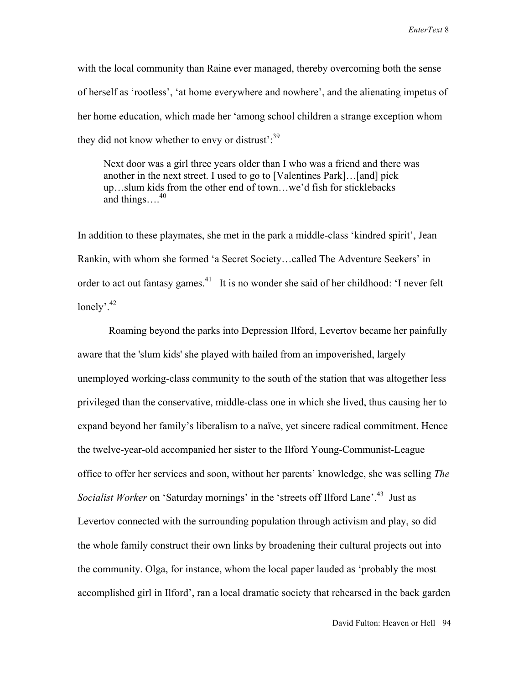with the local community than Raine ever managed, thereby overcoming both the sense of herself as 'rootless', 'at home everywhere and nowhere', and the alienating impetus of her home education, which made her 'among school children a strange exception whom they did not know whether to envy or distrust': $39$ 

 Next door was a girl three years older than I who was a friend and there was another in the next street. I used to go to [Valentines Park]…[and] pick up…slum kids from the other end of town…we'd fish for sticklebacks and things... $^{40}$ 

In addition to these playmates, she met in the park a middle-class 'kindred spirit', Jean Rankin, with whom she formed 'a Secret Society…called The Adventure Seekers' in order to act out fantasy games.<sup>41</sup> It is no wonder she said of her childhood: 'I never felt lonely'<sup>42</sup>

 Roaming beyond the parks into Depression Ilford, Levertov became her painfully aware that the 'slum kids' she played with hailed from an impoverished, largely unemployed working-class community to the south of the station that was altogether less privileged than the conservative, middle-class one in which she lived, thus causing her to expand beyond her family's liberalism to a naïve, yet sincere radical commitment. Hence the twelve-year-old accompanied her sister to the Ilford Young-Communist-League office to offer her services and soon, without her parents' knowledge, she was selling *The Socialist Worker* on 'Saturday mornings' in the 'streets off Ilford Lane'.<sup>43</sup> Just as Levertov connected with the surrounding population through activism and play, so did the whole family construct their own links by broadening their cultural projects out into the community. Olga, for instance, whom the local paper lauded as 'probably the most accomplished girl in Ilford', ran a local dramatic society that rehearsed in the back garden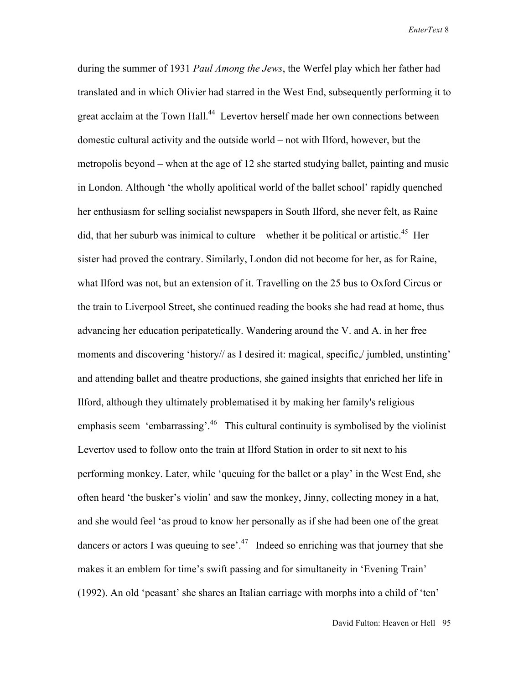during the summer of 1931 *Paul Among the Jews*, the Werfel play which her father had translated and in which Olivier had starred in the West End, subsequently performing it to great acclaim at the Town Hall.<sup>44</sup> Levertov herself made her own connections between domestic cultural activity and the outside world – not with Ilford, however, but the metropolis beyond – when at the age of 12 she started studying ballet, painting and music in London. Although 'the wholly apolitical world of the ballet school' rapidly quenched her enthusiasm for selling socialist newspapers in South Ilford, she never felt, as Raine did, that her suburb was inimical to culture – whether it be political or artistic.<sup>45</sup> Her sister had proved the contrary. Similarly, London did not become for her, as for Raine, what Ilford was not, but an extension of it. Travelling on the 25 bus to Oxford Circus or the train to Liverpool Street, she continued reading the books she had read at home, thus advancing her education peripatetically. Wandering around the V. and A. in her free moments and discovering 'history// as I desired it: magical, specific,/ jumbled, unstinting' and attending ballet and theatre productions, she gained insights that enriched her life in Ilford, although they ultimately problematised it by making her family's religious emphasis seem 'embarrassing'.<sup>46</sup> This cultural continuity is symbolised by the violinist Levertov used to follow onto the train at Ilford Station in order to sit next to his performing monkey. Later, while 'queuing for the ballet or a play' in the West End, she often heard 'the busker's violin' and saw the monkey, Jinny, collecting money in a hat, and she would feel 'as proud to know her personally as if she had been one of the great dancers or actors I was queuing to see'.<sup>47</sup> Indeed so enriching was that journey that she makes it an emblem for time's swift passing and for simultaneity in 'Evening Train' (1992). An old 'peasant' she shares an Italian carriage with morphs into a child of 'ten'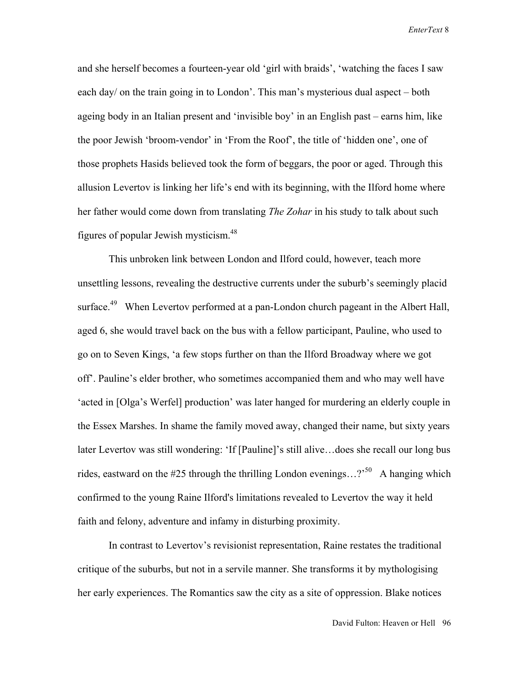and she herself becomes a fourteen-year old 'girl with braids', 'watching the faces I saw each day/ on the train going in to London'. This man's mysterious dual aspect – both ageing body in an Italian present and 'invisible boy' in an English past – earns him, like the poor Jewish 'broom-vendor' in 'From the Roof', the title of 'hidden one', one of those prophets Hasids believed took the form of beggars, the poor or aged. Through this allusion Levertov is linking her life's end with its beginning, with the Ilford home where her father would come down from translating *The Zohar* in his study to talk about such figures of popular Jewish mysticism.48

 This unbroken link between London and Ilford could, however, teach more unsettling lessons, revealing the destructive currents under the suburb's seemingly placid surface.<sup>49</sup> When Levertov performed at a pan-London church pageant in the Albert Hall, aged 6, she would travel back on the bus with a fellow participant, Pauline, who used to go on to Seven Kings, 'a few stops further on than the Ilford Broadway where we got off'. Pauline's elder brother, who sometimes accompanied them and who may well have 'acted in [Olga's Werfel] production' was later hanged for murdering an elderly couple in the Essex Marshes. In shame the family moved away, changed their name, but sixty years later Levertov was still wondering: 'If [Pauline]'s still alive…does she recall our long bus rides, eastward on the #25 through the thrilling London evenings...?<sup>50</sup> A hanging which confirmed to the young Raine Ilford's limitations revealed to Levertov the way it held faith and felony, adventure and infamy in disturbing proximity.

 In contrast to Levertov's revisionist representation, Raine restates the traditional critique of the suburbs, but not in a servile manner. She transforms it by mythologising her early experiences. The Romantics saw the city as a site of oppression. Blake notices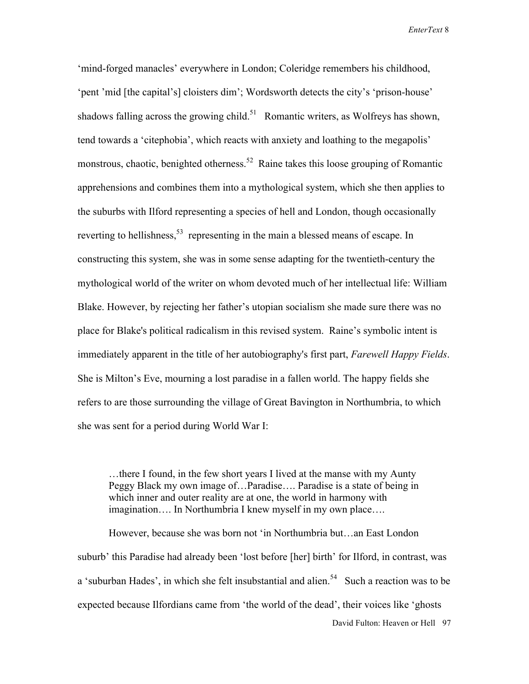'mind-forged manacles' everywhere in London; Coleridge remembers his childhood, 'pent 'mid [the capital's] cloisters dim'; Wordsworth detects the city's 'prison-house' shadows falling across the growing child.<sup>51</sup> Romantic writers, as Wolfreys has shown, tend towards a 'citephobia', which reacts with anxiety and loathing to the megapolis' monstrous, chaotic, benighted otherness.<sup>52</sup> Raine takes this loose grouping of Romantic apprehensions and combines them into a mythological system, which she then applies to the suburbs with Ilford representing a species of hell and London, though occasionally reverting to hellishness,<sup>53</sup> representing in the main a blessed means of escape. In constructing this system, she was in some sense adapting for the twentieth-century the mythological world of the writer on whom devoted much of her intellectual life: William Blake. However, by rejecting her father's utopian socialism she made sure there was no place for Blake's political radicalism in this revised system. Raine's symbolic intent is immediately apparent in the title of her autobiography's first part, *Farewell Happy Fields*. She is Milton's Eve, mourning a lost paradise in a fallen world. The happy fields she refers to are those surrounding the village of Great Bavington in Northumbria, to which she was sent for a period during World War I:

 …there I found, in the few short years I lived at the manse with my Aunty Peggy Black my own image of…Paradise…. Paradise is a state of being in which inner and outer reality are at one, the world in harmony with imagination…. In Northumbria I knew myself in my own place….

David Fulton: Heaven or Hell 97 However, because she was born not 'in Northumbria but…an East London suburb' this Paradise had already been 'lost before [her] birth' for Ilford, in contrast, was a 'suburban Hades', in which she felt insubstantial and alien.<sup>54</sup> Such a reaction was to be expected because Ilfordians came from 'the world of the dead', their voices like 'ghosts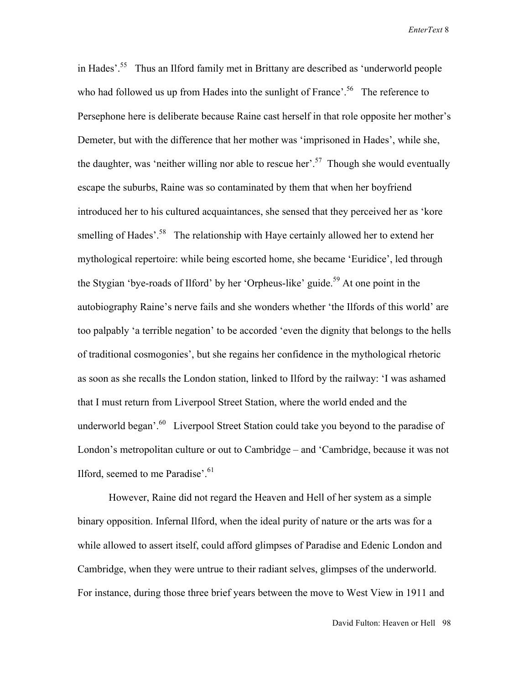in Hades'.55 Thus an Ilford family met in Brittany are described as 'underworld people who had followed us up from Hades into the sunlight of France'.<sup>56</sup> The reference to Persephone here is deliberate because Raine cast herself in that role opposite her mother's Demeter, but with the difference that her mother was 'imprisoned in Hades', while she, the daughter, was 'neither willing nor able to rescue her'.<sup>57</sup> Though she would eventually escape the suburbs, Raine was so contaminated by them that when her boyfriend introduced her to his cultured acquaintances, she sensed that they perceived her as 'kore smelling of Hades'.<sup>58</sup> The relationship with Haye certainly allowed her to extend her mythological repertoire: while being escorted home, she became 'Euridice', led through the Stygian 'bye-roads of Ilford' by her 'Orpheus-like' guide.<sup>59</sup> At one point in the autobiography Raine's nerve fails and she wonders whether 'the Ilfords of this world' are too palpably 'a terrible negation' to be accorded 'even the dignity that belongs to the hells of traditional cosmogonies', but she regains her confidence in the mythological rhetoric as soon as she recalls the London station, linked to Ilford by the railway: 'I was ashamed that I must return from Liverpool Street Station, where the world ended and the underworld began'.<sup>60</sup> Liverpool Street Station could take you beyond to the paradise of London's metropolitan culture or out to Cambridge – and 'Cambridge, because it was not Ilford, seemed to me Paradise'. $61$ 

 However, Raine did not regard the Heaven and Hell of her system as a simple binary opposition. Infernal Ilford, when the ideal purity of nature or the arts was for a while allowed to assert itself, could afford glimpses of Paradise and Edenic London and Cambridge, when they were untrue to their radiant selves, glimpses of the underworld. For instance, during those three brief years between the move to West View in 1911 and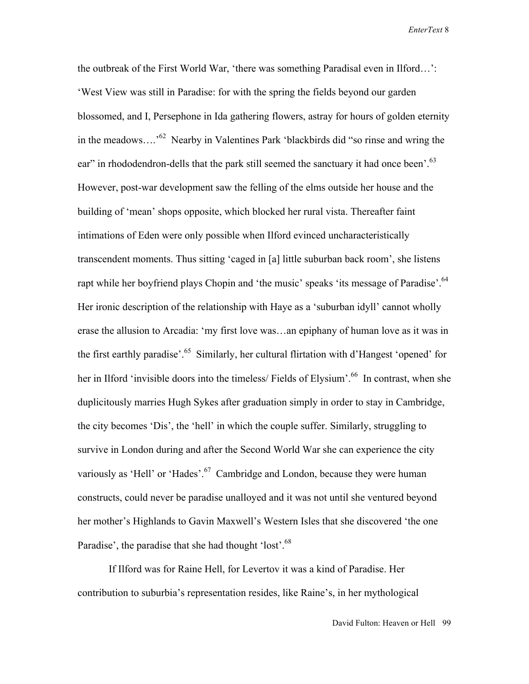the outbreak of the First World War, 'there was something Paradisal even in Ilford…': 'West View was still in Paradise: for with the spring the fields beyond our garden blossomed, and I, Persephone in Ida gathering flowers, astray for hours of golden eternity in the meadows….'62 Nearby in Valentines Park 'blackbirds did "so rinse and wring the ear" in rhododendron-dells that the park still seemed the sanctuary it had once been'.<sup>63</sup> However, post-war development saw the felling of the elms outside her house and the building of 'mean' shops opposite, which blocked her rural vista. Thereafter faint intimations of Eden were only possible when Ilford evinced uncharacteristically transcendent moments. Thus sitting 'caged in [a] little suburban back room', she listens rapt while her boyfriend plays Chopin and 'the music' speaks 'its message of Paradise'.<sup>64</sup> Her ironic description of the relationship with Haye as a 'suburban idyll' cannot wholly erase the allusion to Arcadia: 'my first love was…an epiphany of human love as it was in the first earthly paradise'.<sup>65</sup> Similarly, her cultural flirtation with d'Hangest 'opened' for her in Ilford 'invisible doors into the timeless/ Fields of Elysium'.<sup>66</sup> In contrast, when she duplicitously marries Hugh Sykes after graduation simply in order to stay in Cambridge, the city becomes 'Dis', the 'hell' in which the couple suffer. Similarly, struggling to survive in London during and after the Second World War she can experience the city variously as 'Hell' or 'Hades'.<sup>67</sup> Cambridge and London, because they were human constructs, could never be paradise unalloyed and it was not until she ventured beyond her mother's Highlands to Gavin Maxwell's Western Isles that she discovered 'the one Paradise', the paradise that she had thought 'lost'.<sup>68</sup>

 If Ilford was for Raine Hell, for Levertov it was a kind of Paradise. Her contribution to suburbia's representation resides, like Raine's, in her mythological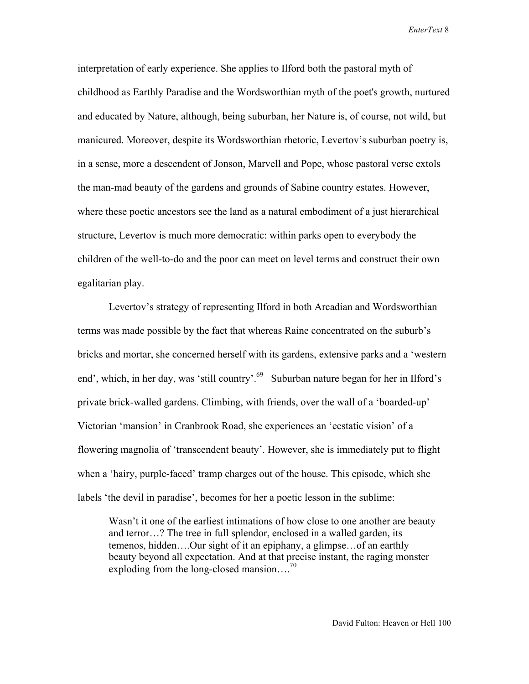interpretation of early experience. She applies to Ilford both the pastoral myth of childhood as Earthly Paradise and the Wordsworthian myth of the poet's growth, nurtured and educated by Nature, although, being suburban, her Nature is, of course, not wild, but manicured. Moreover, despite its Wordsworthian rhetoric, Levertov's suburban poetry is, in a sense, more a descendent of Jonson, Marvell and Pope, whose pastoral verse extols the man-mad beauty of the gardens and grounds of Sabine country estates. However, where these poetic ancestors see the land as a natural embodiment of a just hierarchical structure, Levertov is much more democratic: within parks open to everybody the children of the well-to-do and the poor can meet on level terms and construct their own egalitarian play.

 Levertov's strategy of representing Ilford in both Arcadian and Wordsworthian terms was made possible by the fact that whereas Raine concentrated on the suburb's bricks and mortar, she concerned herself with its gardens, extensive parks and a 'western end', which, in her day, was 'still country'.<sup>69</sup> Suburban nature began for her in Ilford's private brick-walled gardens. Climbing, with friends, over the wall of a 'boarded-up' Victorian 'mansion' in Cranbrook Road, she experiences an 'ecstatic vision' of a flowering magnolia of 'transcendent beauty'. However, she is immediately put to flight when a 'hairy, purple-faced' tramp charges out of the house. This episode, which she labels 'the devil in paradise', becomes for her a poetic lesson in the sublime:

Wasn't it one of the earliest intimations of how close to one another are beauty and terror…? The tree in full splendor, enclosed in a walled garden, its temenos, hidden….Our sight of it an epiphany, a glimpse…of an earthly beauty beyond all expectation. And at that precise instant, the raging monster exploding from the long-closed mansion....<sup>70</sup>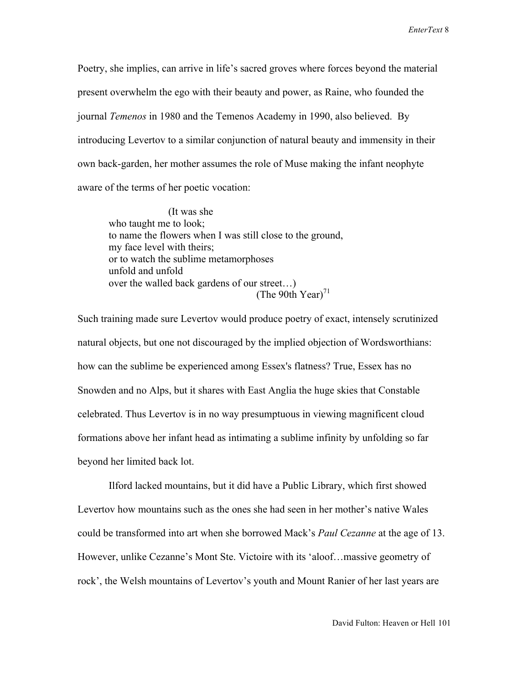Poetry, she implies, can arrive in life's sacred groves where forces beyond the material present overwhelm the ego with their beauty and power, as Raine, who founded the journal *Temenos* in 1980 and the Temenos Academy in 1990, also believed. By introducing Levertov to a similar conjunction of natural beauty and immensity in their own back-garden, her mother assumes the role of Muse making the infant neophyte aware of the terms of her poetic vocation:

 (It was she who taught me to look; to name the flowers when I was still close to the ground, my face level with theirs; or to watch the sublime metamorphoses unfold and unfold over the walled back gardens of our street…) (The 90th Year) $^{71}$ 

Such training made sure Levertov would produce poetry of exact, intensely scrutinized natural objects, but one not discouraged by the implied objection of Wordsworthians: how can the sublime be experienced among Essex's flatness? True, Essex has no Snowden and no Alps, but it shares with East Anglia the huge skies that Constable celebrated. Thus Levertov is in no way presumptuous in viewing magnificent cloud formations above her infant head as intimating a sublime infinity by unfolding so far beyond her limited back lot.

 Ilford lacked mountains, but it did have a Public Library, which first showed Levertov how mountains such as the ones she had seen in her mother's native Wales could be transformed into art when she borrowed Mack's *Paul Cezanne* at the age of 13. However, unlike Cezanne's Mont Ste. Victoire with its 'aloof…massive geometry of rock', the Welsh mountains of Levertov's youth and Mount Ranier of her last years are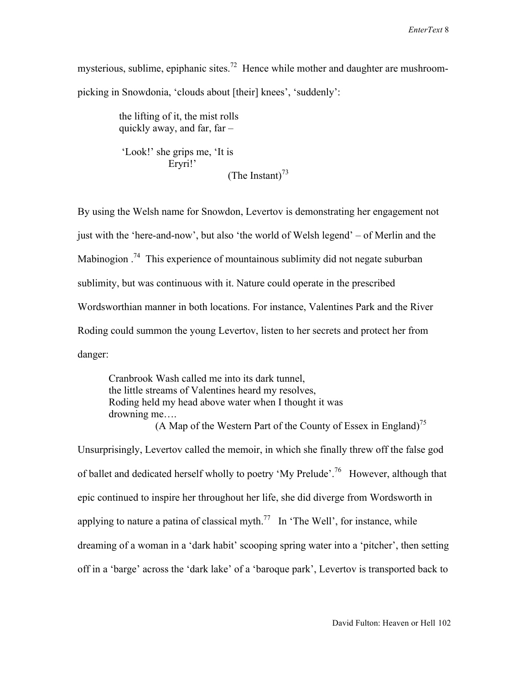mysterious, sublime, epiphanic sites.<sup>72</sup> Hence while mother and daughter are mushroompicking in Snowdonia, 'clouds about [their] knees', 'suddenly':

> the lifting of it, the mist rolls quickly away, and far, far –

 'Look!' she grips me, 'It is Eryri!' (The Instant) $^{73}$ 

By using the Welsh name for Snowdon, Levertov is demonstrating her engagement not just with the 'here-and-now', but also 'the world of Welsh legend' – of Merlin and the Mabinogion  $14$ <sup>74</sup>. This experience of mountainous sublimity did not negate suburban sublimity, but was continuous with it. Nature could operate in the prescribed Wordsworthian manner in both locations. For instance, Valentines Park and the River Roding could summon the young Levertov, listen to her secrets and protect her from danger:

 Cranbrook Wash called me into its dark tunnel, the little streams of Valentines heard my resolves, Roding held my head above water when I thought it was drowning me…. (A Map of the Western Part of the County of Essex in England)<sup>75</sup>

Unsurprisingly, Levertov called the memoir, in which she finally threw off the false god of ballet and dedicated herself wholly to poetry 'My Prelude'.<sup>76</sup> However, although that epic continued to inspire her throughout her life, she did diverge from Wordsworth in applying to nature a patina of classical myth.<sup>77</sup> In 'The Well', for instance, while dreaming of a woman in a 'dark habit' scooping spring water into a 'pitcher', then setting off in a 'barge' across the 'dark lake' of a 'baroque park', Levertov is transported back to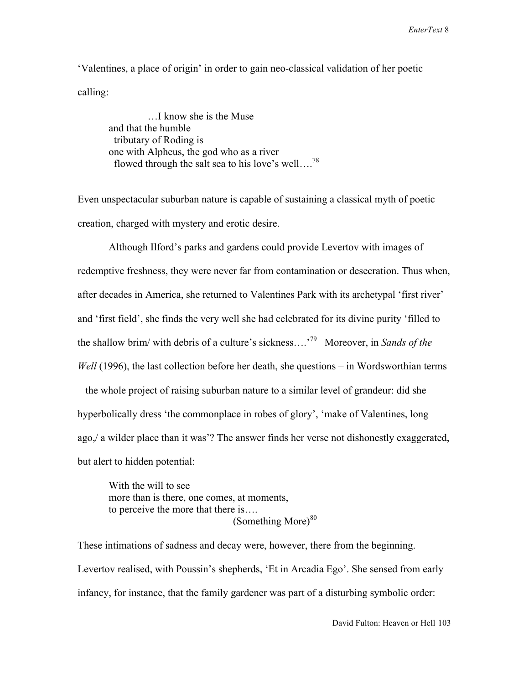'Valentines, a place of origin' in order to gain neo-classical validation of her poetic calling:

 …I know she is the Muse and that the humble tributary of Roding is one with Alpheus, the god who as a river flowed through the salt sea to his love's well....<sup>78</sup>

Even unspectacular suburban nature is capable of sustaining a classical myth of poetic creation, charged with mystery and erotic desire.

 Although Ilford's parks and gardens could provide Levertov with images of redemptive freshness, they were never far from contamination or desecration. Thus when, after decades in America, she returned to Valentines Park with its archetypal 'first river' and 'first field', she finds the very well she had celebrated for its divine purity 'filled to the shallow brim/ with debris of a culture's sickness….'79 Moreover, in *Sands of the Well* (1996), the last collection before her death, she questions – in Wordsworthian terms – the whole project of raising suburban nature to a similar level of grandeur: did she hyperbolically dress 'the commonplace in robes of glory', 'make of Valentines, long ago,/ a wilder place than it was'? The answer finds her verse not dishonestly exaggerated, but alert to hidden potential:

 With the will to see more than is there, one comes, at moments, to perceive the more that there is…. (Something More) $80$ 

These intimations of sadness and decay were, however, there from the beginning. Levertov realised, with Poussin's shepherds, 'Et in Arcadia Ego'. She sensed from early infancy, for instance, that the family gardener was part of a disturbing symbolic order: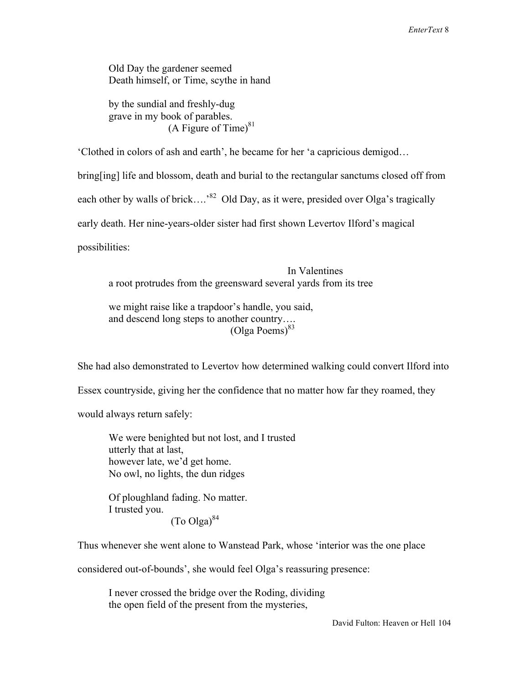Old Day the gardener seemed Death himself, or Time, scythe in hand

 by the sundial and freshly-dug grave in my book of parables. (A Figure of Time) $81$ 

'Clothed in colors of ash and earth', he became for her 'a capricious demigod…

bring[ing] life and blossom, death and burial to the rectangular sanctums closed off from

each other by walls of brick....<sup>82</sup> Old Day, as it were, presided over Olga's tragically

early death. Her nine-years-older sister had first shown Levertov Ilford's magical

possibilities:

 In Valentines a root protrudes from the greensward several yards from its tree

 we might raise like a trapdoor's handle, you said, and descend long steps to another country….  $(O$ lga Poems $)^{83}$ 

She had also demonstrated to Levertov how determined walking could convert Ilford into

Essex countryside, giving her the confidence that no matter how far they roamed, they

would always return safely:

 We were benighted but not lost, and I trusted utterly that at last, however late, we'd get home. No owl, no lights, the dun ridges

 Of ploughland fading. No matter. I trusted you.  $(To Olga)^{84}$ 

Thus whenever she went alone to Wanstead Park, whose 'interior was the one place

considered out-of-bounds', she would feel Olga's reassuring presence:

 I never crossed the bridge over the Roding, dividing the open field of the present from the mysteries,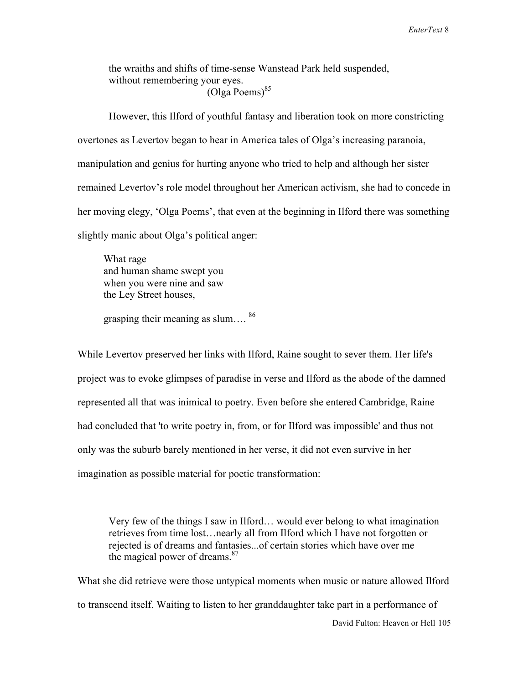the wraiths and shifts of time-sense Wanstead Park held suspended, without remembering your eyes. (Olga Poems)<sup>85</sup>

 However, this Ilford of youthful fantasy and liberation took on more constricting overtones as Levertov began to hear in America tales of Olga's increasing paranoia, manipulation and genius for hurting anyone who tried to help and although her sister remained Levertov's role model throughout her American activism, she had to concede in her moving elegy, 'Olga Poems', that even at the beginning in Ilford there was something slightly manic about Olga's political anger:

 What rage and human shame swept you when you were nine and saw the Ley Street houses,

grasping their meaning as slum.... <sup>86</sup>

While Levertov preserved her links with Ilford, Raine sought to sever them. Her life's project was to evoke glimpses of paradise in verse and Ilford as the abode of the damned represented all that was inimical to poetry. Even before she entered Cambridge, Raine had concluded that 'to write poetry in, from, or for Ilford was impossible' and thus not only was the suburb barely mentioned in her verse, it did not even survive in her imagination as possible material for poetic transformation:

 Very few of the things I saw in Ilford… would ever belong to what imagination retrieves from time lost…nearly all from Ilford which I have not forgotten or rejected is of dreams and fantasies...of certain stories which have over me the magical power of dreams. $87$ 

 David Fulton: Heaven or Hell 105 What she did retrieve were those untypical moments when music or nature allowed Ilford to transcend itself. Waiting to listen to her granddaughter take part in a performance of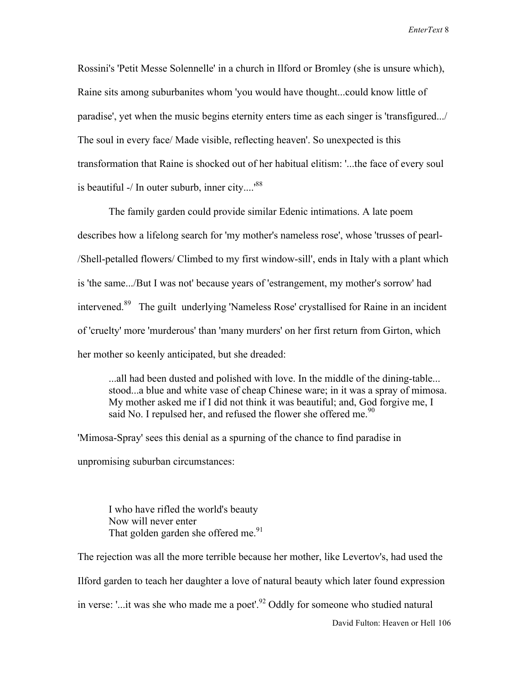Rossini's 'Petit Messe Solennelle' in a church in Ilford or Bromley (she is unsure which), Raine sits among suburbanites whom 'you would have thought...could know little of paradise', yet when the music begins eternity enters time as each singer is 'transfigured.../ The soul in every face/ Made visible, reflecting heaven'. So unexpected is this transformation that Raine is shocked out of her habitual elitism: '...the face of every soul is beautiful  $-$ / In outer suburb, inner city....<sup>88</sup>

 The family garden could provide similar Edenic intimations. A late poem describes how a lifelong search for 'my mother's nameless rose', whose 'trusses of pearl- /Shell-petalled flowers/ Climbed to my first window-sill', ends in Italy with a plant which is 'the same.../But I was not' because years of 'estrangement, my mother's sorrow' had intervened.89 The guilt underlying 'Nameless Rose' crystallised for Raine in an incident of 'cruelty' more 'murderous' than 'many murders' on her first return from Girton, which her mother so keenly anticipated, but she dreaded:

 ...all had been dusted and polished with love. In the middle of the dining-table... stood...a blue and white vase of cheap Chinese ware; in it was a spray of mimosa. My mother asked me if I did not think it was beautiful; and, God forgive me, I said No. I repulsed her, and refused the flower she offered me.<sup>90</sup>

'Mimosa-Spray' sees this denial as a spurning of the chance to find paradise in unpromising suburban circumstances:

 I who have rifled the world's beauty Now will never enter That golden garden she offered me. $91$ 

 David Fulton: Heaven or Hell 106 The rejection was all the more terrible because her mother, like Levertov's, had used the Ilford garden to teach her daughter a love of natural beauty which later found expression in verse: '...it was she who made me a poet'.<sup>92</sup> Oddly for someone who studied natural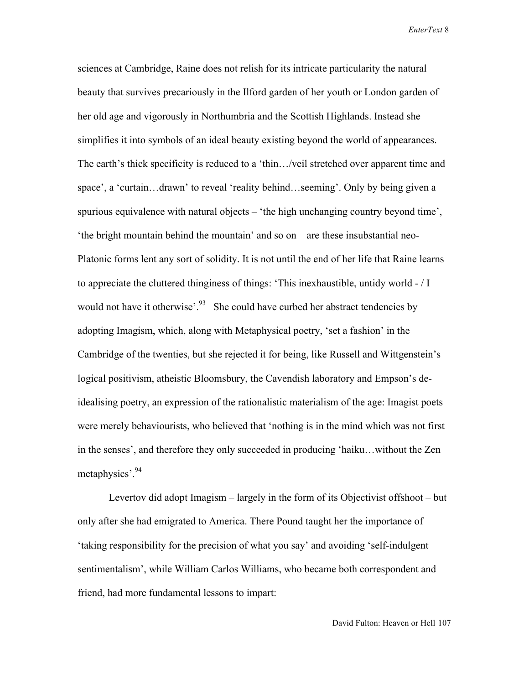sciences at Cambridge, Raine does not relish for its intricate particularity the natural beauty that survives precariously in the Ilford garden of her youth or London garden of her old age and vigorously in Northumbria and the Scottish Highlands. Instead she simplifies it into symbols of an ideal beauty existing beyond the world of appearances. The earth's thick specificity is reduced to a 'thin…/veil stretched over apparent time and space', a 'curtain...drawn' to reveal 'reality behind...seeming'. Only by being given a spurious equivalence with natural objects – 'the high unchanging country beyond time', 'the bright mountain behind the mountain' and so on – are these insubstantial neo-Platonic forms lent any sort of solidity. It is not until the end of her life that Raine learns to appreciate the cluttered thinginess of things: 'This inexhaustible, untidy world - / I would not have it otherwise'.<sup>93</sup> She could have curbed her abstract tendencies by adopting Imagism, which, along with Metaphysical poetry, 'set a fashion' in the Cambridge of the twenties, but she rejected it for being, like Russell and Wittgenstein's logical positivism, atheistic Bloomsbury, the Cavendish laboratory and Empson's deidealising poetry, an expression of the rationalistic materialism of the age: Imagist poets were merely behaviourists, who believed that 'nothing is in the mind which was not first in the senses', and therefore they only succeeded in producing 'haiku…without the Zen metaphysics'.94

 Levertov did adopt Imagism – largely in the form of its Objectivist offshoot – but only after she had emigrated to America. There Pound taught her the importance of 'taking responsibility for the precision of what you say' and avoiding 'self-indulgent sentimentalism', while William Carlos Williams, who became both correspondent and friend, had more fundamental lessons to impart: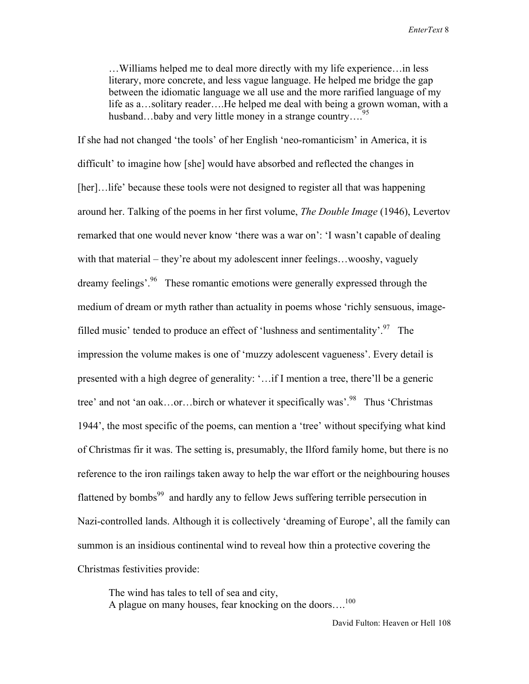…Williams helped me to deal more directly with my life experience…in less literary, more concrete, and less vague language. He helped me bridge the gap between the idiomatic language we all use and the more rarified language of my life as a…solitary reader….He helped me deal with being a grown woman, with a husband…baby and very little money in a strange country….<sup>95</sup>

If she had not changed 'the tools' of her English 'neo-romanticism' in America, it is difficult' to imagine how [she] would have absorbed and reflected the changes in [her]…life' because these tools were not designed to register all that was happening around her. Talking of the poems in her first volume, *The Double Image* (1946), Levertov remarked that one would never know 'there was a war on': 'I wasn't capable of dealing with that material – they're about my adolescent inner feelings...wooshy, vaguely dreamy feelings'.<sup>96</sup> These romantic emotions were generally expressed through the medium of dream or myth rather than actuality in poems whose 'richly sensuous, imagefilled music' tended to produce an effect of 'lushness and sentimentality'.<sup>97</sup> The impression the volume makes is one of 'muzzy adolescent vagueness'. Every detail is presented with a high degree of generality: '…if I mention a tree, there'll be a generic tree' and not 'an oak...or...birch or whatever it specifically was'.<sup>98</sup> Thus 'Christmas' 1944', the most specific of the poems, can mention a 'tree' without specifying what kind of Christmas fir it was. The setting is, presumably, the Ilford family home, but there is no reference to the iron railings taken away to help the war effort or the neighbouring houses flattened by bombs<sup>99</sup> and hardly any to fellow Jews suffering terrible persecution in Nazi-controlled lands. Although it is collectively 'dreaming of Europe', all the family can summon is an insidious continental wind to reveal how thin a protective covering the Christmas festivities provide:

 The wind has tales to tell of sea and city, A plague on many houses, fear knocking on the doors....<sup>100</sup>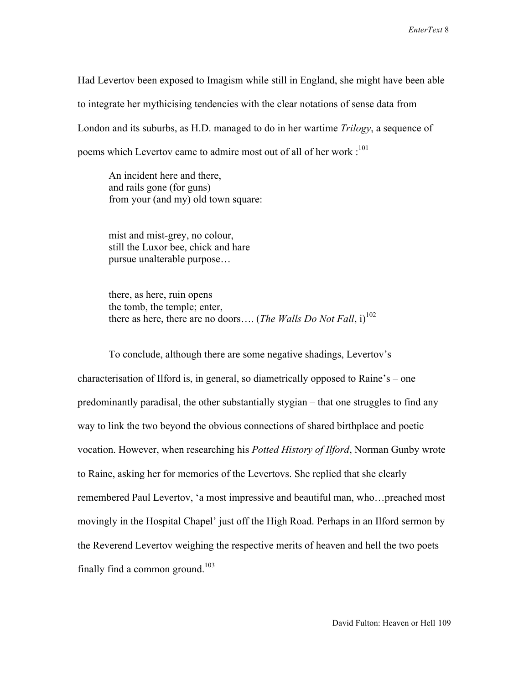Had Levertov been exposed to Imagism while still in England, she might have been able to integrate her mythicising tendencies with the clear notations of sense data from London and its suburbs, as H.D. managed to do in her wartime *Trilogy*, a sequence of poems which Levertov came to admire most out of all of her work :<sup>101</sup>

 An incident here and there, and rails gone (for guns) from your (and my) old town square:

 mist and mist-grey, no colour, still the Luxor bee, chick and hare pursue unalterable purpose…

 there, as here, ruin opens the tomb, the temple; enter, there as here, there are no doors.... (*The Walls Do Not Fall*, i)<sup>102</sup>

 To conclude, although there are some negative shadings, Levertov's characterisation of Ilford is, in general, so diametrically opposed to Raine's – one predominantly paradisal, the other substantially stygian – that one struggles to find any way to link the two beyond the obvious connections of shared birthplace and poetic vocation. However, when researching his *Potted History of Ilford*, Norman Gunby wrote to Raine, asking her for memories of the Levertovs. She replied that she clearly remembered Paul Levertov, 'a most impressive and beautiful man, who…preached most movingly in the Hospital Chapel' just off the High Road. Perhaps in an Ilford sermon by the Reverend Levertov weighing the respective merits of heaven and hell the two poets finally find a common ground. $103$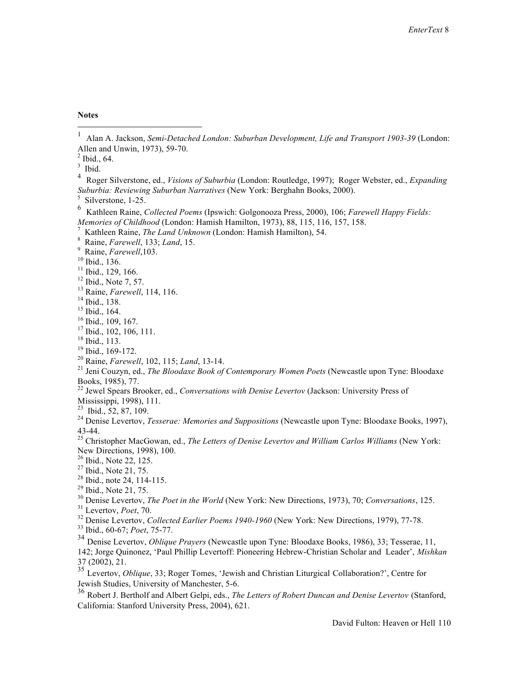**Notes**

Ibid., 64.

- Kathleen Raine, *The Land Unknown* (London: Hamish Hamilton), 54.
- Raine, *Farewell*, 133; *Land*, 15. <sup>9</sup>

<sup>9</sup> Raine, *Farewell*, 103.<br><sup>10</sup> Ibid., 136.

<sup>13</sup> Raine, *Farewell*, 114, 116.<br><sup>14</sup> Ibid., 138.

 $15$  Ibid., 164.

- $17$  Ibid., 102, 106, 111.
- 
- $^{18}$  Ibid., 113.<br> $^{19}$  Ibid., 169-172.
- 

<sup>20</sup> Raine, *Farewell*, 102, 115; *Land*, 13-14.<br><sup>21</sup> Jeni Couzyn, ed., *The Bloodaxe Book of Contemporary Women Poets* (Newcastle upon Tyne: Bloodaxe Books, 1985), 77.

- 22 Jewel Spears Brooker, ed., *Conversations with Denise Levertov* (Jackson: University Press of
- Mississippi, 1998), 111.<br><sup>23</sup> Ibid., 52, 87, 109.

43-44. 25 Christopher MacGowan, ed., *The Letters of Denise Levertov and William Carlos Williams* (New York: New Directions, 1998), 100.<br><sup>26</sup> Ibid., Note 22, 125.

- $27$  Ibid., Note 21, 75.
- 

<sup>31</sup> Levertov, *Poet*, 70.<br><sup>32</sup> Denise Levertov, *Collected Earlier Poems 1940-1960* (New York: New Directions, 1979), 77-78.<br><sup>33</sup> Ibid., 60-67; *Poet*, 75-77.

<sup>35</sup> Levertov, *Oblique*, 33; Roger Tomes, 'Jewish and Christian Liturgical Collaboration?', Centre for Jewish Studies, University of Manchester, 5-6.

<sup>36</sup> Robert J. Bertholf and Albert Gelpi, eds., *The Letters of Robert Duncan and Denise Levertov* (Stanford, California: Stanford University Press, 2004), 621.

 <sup>1</sup> Alan A. Jackson, *Semi-Detached London: Suburban Development, Life and Transport 1903-39* (London: Allen and Unwin, 1973), 59-70. <sup>2</sup>

 $\frac{3}{4}$  Ibid.

Roger Silverstone, ed., *Visions of Suburbia* (London: Routledge, 1997); Roger Webster, ed., *Expanding Suburbia: Reviewing Suburban Narratives* (New York: Berghahn Books, 2000). <sup>5</sup>

 $5$  Silverstone, 1-25.

<sup>6</sup> Kathleen Raine, *Collected Poems* (Ipswich: Golgonooza Press, 2000), 106; *Farewell Happy Fields: Memories of Childhood* (London: Hamish Hamilton, 1973), 88, 115, 116, 157, 158. 7

<sup>&</sup>lt;sup>11</sup> Ibid., 129, 166.

 $12$  Ibid., Note 7, 57.

<sup>&</sup>lt;sup>16</sup> Ibid., 109, 167.

<sup>&</sup>lt;sup>24</sup> Denise Levertov, *Tesserae: Memories and Suppositions* (Newcastle upon Tyne: Bloodaxe Books, 1997),

<sup>&</sup>lt;sup>28</sup> Ibid., note 24, 114-115.<br><sup>29</sup> Ibid., Note 21, 75.<br><sup>30</sup> Denise Levertov, *The Poet in the World* (New York: New Directions, 1973), 70; *Conversations*, 125.

<sup>34</sup> Denise Levertov, *Oblique Prayers* (Newcastle upon Tyne: Bloodaxe Books, 1986), 33; Tesserae, 11, 142; Jorge Quinonez, 'Paul Phillip Levertoff: Pioneering Hebrew-Christian Scholar and Leader', *Mishkan* 37 (2002), 21.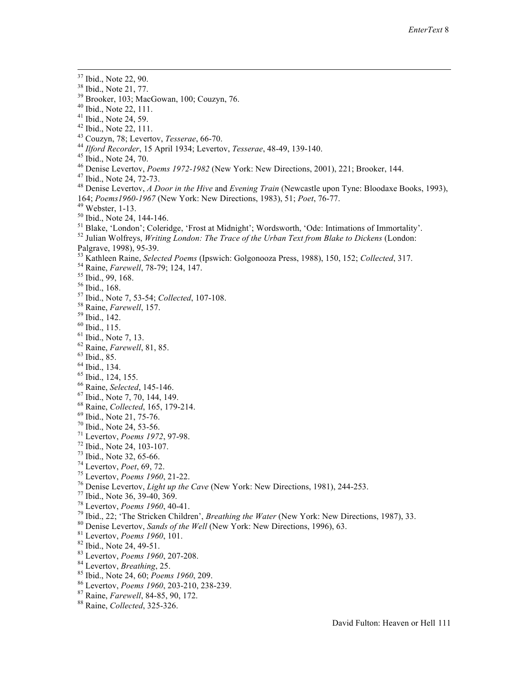- $39$  Brooker, 103; MacGowan, 100; Couzyn, 76.
- $40$  Ibid., Note 22, 111.
- $41$  Ibid., Note 24, 59.
- $42$  Ibid., Note 22, 111.
- 
- 43 Couzyn, 78; Levertov, *Tesserae*, 66-70.<br><sup>44</sup> *Ilford Recorder*, 15 April 1934; Levertov, *Tesserae*, 48-49, 139-140.
- 
- 
- 
- <sup>45</sup> Ibid., Note 24, 70.<br>
<sup>46</sup> Denise Levertov, *Poems 1972-1982* (New York: New Directions, 2001), 221; Brooker, 144.<br>
<sup>47</sup> Ibid., Note 24, 72-73.<br>
<sup>48</sup> Denise Levertov, *A Door in the Hive* and *Evening Train* (Newcastl
- 
- 
- 

<sup>49</sup> Webster, 1-13.<br><sup>50</sup> Ibid., Note 24, 144-146.<br><sup>51</sup> Blake, 'London'; Coleridge, 'Frost at Midnight'; Wordsworth, 'Ode: Intimations of Immortality'.<br><sup>52</sup> Julian Wolfreys, *Writing London: The Trace of the Urban Text fro* 

- Palgrave, 1998), 95-39. 53 Kathleen Raine, *Selected Poems* (Ipswich: Golgonooza Press, 1988), 150, 152; *Collected*, 317. 54 Raine, *Farewell*, 78-79; 124, 147. 55 Ibid., 99, 168.
- 
- 
- 56 Ibid., 168.
- 57 Ibid., Note 7, 53-54; *Collected*, 107-108. 58 Raine, *Farewell*, 157. 59 Ibid., 142.
- 
- 
- 60 Ibid., 115.
- $61$  Ibid., Note 7, 13.
- <sup>62</sup> Raine, *Farewell*, 81, 85.<br><sup>63</sup> Ibid., 85.
- 
- 64 Ibid., 134.
- 
- $^{65}$  Ibid., 124, 155.<br> $^{66}$  Raine, *Selected*, 145-146.
- 
- <sup>67</sup> Ibid., Note 7, 70, 144, 149.<br><sup>68</sup> Raine, *Collected*, 165, 179-214.
- 
- 
- 
- 
- 
- 
- 
- 
- 
- 
- <sup>69</sup> Ibid., Note 21, 75-76.<br>
<sup>71</sup> Ibid., Note 24, 53-56.<br>
<sup>71</sup> Ibid., Note 24, 103-107.<br>
<sup>72</sup> Ibid., Note 32, 65-66.<br>
<sup>74</sup> Ievertov, *Poens* 1972, 97-98.<br>
<sup>74</sup> Levertov, *Poens* 1960, 21-22.<br>
<sup>76</sup> Denise Levertov, *Light*
- 
- 
- 
- 
- 
- 
- 
- 
- 

<sup>&</sup>lt;sup>37</sup> Ibid., Note 22, 90.

<sup>38</sup> Ibid., Note 21, 77.